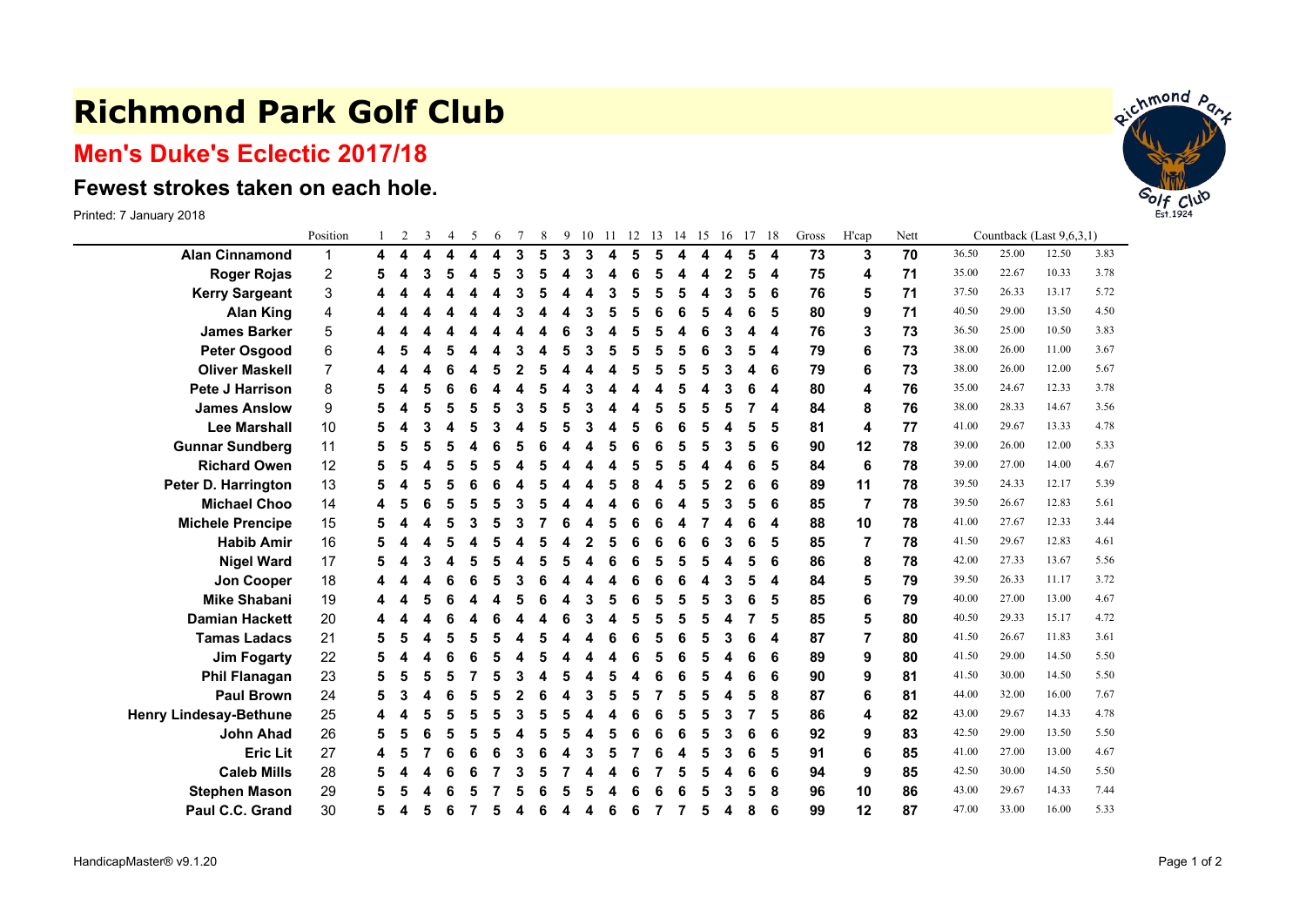## **Richmond Park Golf Club**

## **Men's Duke's Eclectic 2017/18**

## **Fewest strokes taken on each hole.**

Printed: 7 January 2018

|                               | Position       |   | 2 | 3 | 4 | 5 | 6 |   | 8 | 9 | 10 | -11 | 12 | 13 | 14 | 15 | 16          | 17 | 18 | Gross | H'cap | Nett | Countback (Last 9,6,3,1) |       |       |      |  |
|-------------------------------|----------------|---|---|---|---|---|---|---|---|---|----|-----|----|----|----|----|-------------|----|----|-------|-------|------|--------------------------|-------|-------|------|--|
| <b>Alan Cinnamond</b>         | $\mathbf{1}$   | 4 | 4 | 4 | 4 | 4 | 4 | 3 | 5 | 3 | 3  | 4   | 5  | 5  | 4  | 4  | 4           | 5  | 4  | 73    | 3     | 70   | 36.50                    | 25.00 | 12.50 | 3.83 |  |
| <b>Roger Rojas</b>            | 2              |   |   | 3 | 5 |   | 5 | 3 | 5 |   | 3  |     |    | 5  |    |    | $\mathbf 2$ | 5  | 4  | 75    | 4     | 71   | 35.00                    | 22.67 | 10.33 | 3.78 |  |
| <b>Kerry Sargeant</b>         | 3              |   |   |   |   |   |   |   | 5 |   |    | 3   |    | 5  | 5  |    | 3           | 5  | 6  | 76    | 5     | 71   | 37.50                    | 26.33 | 13.17 | 5.72 |  |
| <b>Alan King</b>              | 4              |   |   |   |   |   |   |   |   |   |    |     |    | 6  | ĥ  |    | Δ           | 6  | 5  | 80    | 9     | 71   | 40.50                    | 29.00 | 13.50 | 4.50 |  |
| <b>James Barker</b>           | 5              |   |   |   |   |   |   |   |   |   |    |     |    | 5  |    |    | 3           |    | 4  | 76    | 3     | 73   | 36.50                    | 25.00 | 10.50 | 3.83 |  |
| <b>Peter Osgood</b>           | 6              |   |   | 4 | 5 |   |   |   | 4 | 5 | 3  | 5   | 5  | 5  | 5  | 6  | 3           | 5  | 4  | 79    | 6     | 73   | 38.00                    | 26.00 | 11.00 | 3.67 |  |
| <b>Oliver Maskell</b>         | $\overline{7}$ |   |   |   |   |   |   |   |   |   |    |     |    | 5  | 5  | 5  | 3           | 4  | 6  | 79    | 6     | 73   | 38.00                    | 26.00 | 12.00 | 5.67 |  |
| <b>Pete J Harrison</b>        | 8              |   |   | 5 | 6 |   |   |   |   |   |    |     |    | Δ  | 5  |    | 3           | 6  | 4  | 80    | 4     | 76   | 35.00                    | 24.67 | 12.33 | 3.78 |  |
| <b>James Anslow</b>           | 9              |   |   | 5 | 5 |   | 5 |   | 5 |   |    |     |    | 5  |    |    | 5           |    | 4  | 84    | 8     | 76   | 38.00                    | 28.33 | 14.67 | 3.56 |  |
| <b>Lee Marshall</b>           | 10             |   |   | 3 |   |   |   |   | 5 |   |    |     |    | 6  | 6  |    | 4           | 5  | 5  | 81    | 4     | 77   | 41.00                    | 29.67 | 13.33 | 4.78 |  |
| <b>Gunnar Sundberg</b>        | 11             |   |   | 5 |   |   |   |   | R |   |    |     |    | 6  | 5  | 5  | 3           |    | 6  | 90    | 12    | 78   | 39.00                    | 26.00 | 12.00 | 5.33 |  |
| <b>Richard Owen</b>           | 12             |   |   |   |   |   |   |   |   |   |    |     |    | 5  |    |    | Δ           | 6  | 5  | 84    | 6     | 78   | 39.00                    | 27.00 | 14.00 | 4.67 |  |
| Peter D. Harrington           | 13             |   |   | 5 | 5 |   | 6 |   | 5 |   |    | 5   |    | Δ  | 5  | 5  | 2           | 6  | 6  | 89    | 11    | 78   | 39.50                    | 24.33 | 12.17 | 5.39 |  |
| <b>Michael Choo</b>           | 14             |   |   | 6 | 5 |   |   |   |   |   |    |     |    | ĥ  |    |    | 3           | 5  | 6  | 85    | 7     | 78   | 39.50                    | 26.67 | 12.83 | 5.61 |  |
| <b>Michele Prencipe</b>       | 15             | 5 |   | 4 | 5 |   | 5 |   |   | 6 |    | 5   |    | 6  | Δ  |    | 4           | 6  | 4  | 88    | 10    | 78   | 41.00                    | 27.67 | 12.33 | 3.44 |  |
| <b>Habib Amir</b>             | 16             |   |   |   |   |   |   |   | 5 |   |    |     |    | 6  | 6  |    | 3           | 6  | 5  | 85    | 7     | 78   | 41.50                    | 29.67 | 12.83 | 4.61 |  |
| <b>Nigel Ward</b>             | 17             |   |   | 3 |   |   |   |   |   |   |    |     |    | 5  | 5  |    | 4           | 5  | 6  | 86    | 8     | 78   | 42.00                    | 27.33 | 13.67 | 5.56 |  |
| Jon Cooper                    | 18             |   |   |   |   |   |   |   |   |   |    |     |    | 6  | 6  |    | 3           | 5  | 4  | 84    |       | 79   | 39.50                    | 26.33 | 11.17 | 3.72 |  |
| <b>Mike Shabani</b>           | 19             |   |   | 5 |   |   |   |   |   |   |    |     |    | 5  | 5  |    | 3           | 6  | 5  | 85    | 6     | 79   | 40.00                    | 27.00 | 13.00 | 4.67 |  |
| <b>Damian Hackett</b>         | 20             |   |   |   |   |   |   |   |   | 6 |    | Δ   |    | 5  | 5  | 5  | 4           |    | 5  | 85    |       | 80   | 40.50                    | 29.33 | 15.17 | 4.72 |  |
| <b>Tamas Ladacs</b>           | 21             |   |   | 4 | 5 |   | 5 |   | 5 |   |    |     |    | 5  | 6  | 5  | 3           | 6  | 4  | 87    |       | 80   | 41.50                    | 26.67 | 11.83 | 3.61 |  |
| <b>Jim Fogarty</b>            | 22             |   |   |   |   |   |   |   |   |   |    |     |    | 5  | 6  |    | 4           | 6  | 6  | 89    | 9     | 80   | 41.50                    | 29.00 | 14.50 | 5.50 |  |
| <b>Phil Flanagan</b>          | 23             |   |   | 5 | 5 |   |   |   |   |   |    | 5   |    | 6  | ĥ  |    | Δ           | 6  | 6  | 90    | 9     | 81   | 41.50                    | 30.00 | 14.50 | 5.50 |  |
| <b>Paul Brown</b>             | 24             | 5 |   |   | 6 |   |   |   |   |   | 3  |     |    |    | 5  |    | 4           | 5  | 8  | 87    | 6     | 81   | 44.00                    | 32.00 | 16.00 | 7.67 |  |
| <b>Henry Lindesay-Bethune</b> | 25             |   |   | 5 | 5 | 5 | 5 |   | 5 | 5 |    |     | 6  | 6  | 5  | 5  | 3           |    | 5  | 86    |       | 82   | 43.00                    | 29.67 | 14.33 | 4.78 |  |
| <b>John Ahad</b>              | 26             | 5 |   | 6 | 5 |   |   |   | 5 |   |    |     |    | 6  | 6  | 5  | 3           | 6  | 6  | 92    | 9     | 83   | 42.50                    | 29.00 | 13.50 | 5.50 |  |
| <b>Eric Lit</b>               | 27             | 4 |   |   | 6 |   | 6 |   |   |   | 3  | 5   |    | 6  |    |    | 3           | 6  | 5  | 91    | 6     | 85   | 41.00                    | 27.00 | 13.00 | 4.67 |  |
| <b>Caleb Mills</b>            | 28             |   |   |   | ĥ |   |   |   |   |   |    |     |    |    |    |    | Δ           | 6  | 6  | 94    | 9     | 85   | 42.50                    | 30.00 | 14.50 | 5.50 |  |
| <b>Stephen Mason</b>          | 29             |   |   |   |   |   |   |   |   |   |    |     |    | 6  |    |    | 3           | 5  | 8  | 96    | 10    | 86   | 43.00                    | 29.67 | 14.33 | 7.44 |  |
| Paul C.C. Grand               | 30             | 5 | 4 | 5 | 6 |   | 5 | 4 | 6 | Δ | 4  | 6   | 6  | 7  | 7  | 5  | 4           | 8  | 6  | 99    | 12    | 87   | 47.00                    | 33.00 | 16.00 | 5.33 |  |